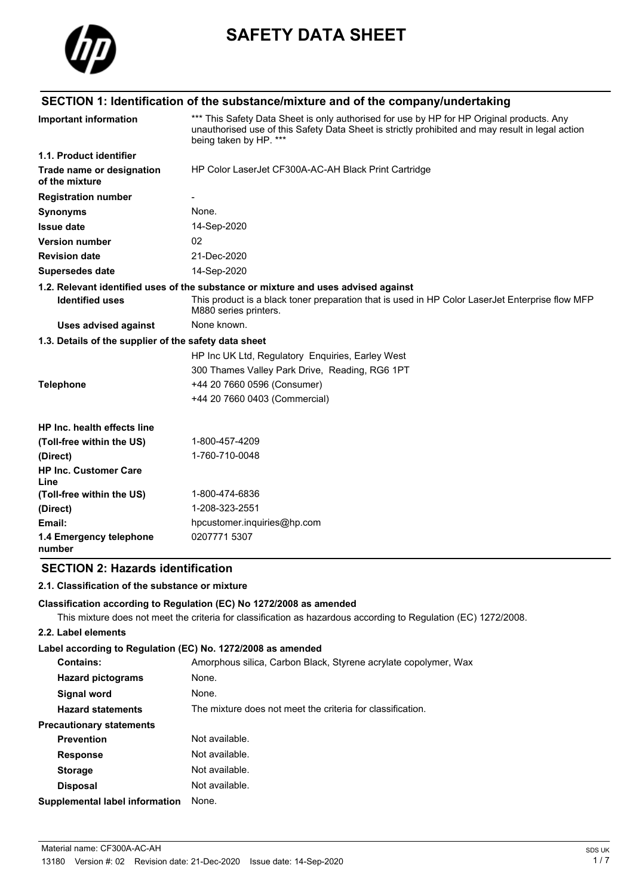

# **SAFETY DATA SHEET**

## **SECTION 1: Identification of the substance/mixture and of the company/undertaking**

| <b>Important information</b>                          | *** This Safety Data Sheet is only authorised for use by HP for HP Original products. Any<br>unauthorised use of this Safety Data Sheet is strictly prohibited and may result in legal action<br>being taken by HP. *** |
|-------------------------------------------------------|-------------------------------------------------------------------------------------------------------------------------------------------------------------------------------------------------------------------------|
| 1.1. Product identifier                               |                                                                                                                                                                                                                         |
| Trade name or designation<br>of the mixture           | HP Color LaserJet CF300A-AC-AH Black Print Cartridge                                                                                                                                                                    |
| <b>Registration number</b>                            |                                                                                                                                                                                                                         |
| <b>Synonyms</b>                                       | None.                                                                                                                                                                                                                   |
| <b>Issue date</b>                                     | 14-Sep-2020                                                                                                                                                                                                             |
| <b>Version number</b>                                 | 02                                                                                                                                                                                                                      |
| <b>Revision date</b>                                  | 21-Dec-2020                                                                                                                                                                                                             |
| <b>Supersedes date</b>                                | 14-Sep-2020                                                                                                                                                                                                             |
|                                                       | 1.2. Relevant identified uses of the substance or mixture and uses advised against                                                                                                                                      |
| <b>Identified uses</b>                                | This product is a black toner preparation that is used in HP Color LaserJet Enterprise flow MFP<br>M880 series printers.                                                                                                |
| <b>Uses advised against</b>                           | None known.                                                                                                                                                                                                             |
| 1.3. Details of the supplier of the safety data sheet |                                                                                                                                                                                                                         |
|                                                       | HP Inc UK Ltd, Regulatory Enquiries, Earley West                                                                                                                                                                        |
|                                                       | 300 Thames Valley Park Drive, Reading, RG6 1PT                                                                                                                                                                          |
| <b>Telephone</b>                                      | +44 20 7660 0596 (Consumer)                                                                                                                                                                                             |
|                                                       | +44 20 7660 0403 (Commercial)                                                                                                                                                                                           |
| HP Inc. health effects line                           |                                                                                                                                                                                                                         |
| (Toll-free within the US)                             | 1-800-457-4209                                                                                                                                                                                                          |
| (Direct)                                              | 1-760-710-0048                                                                                                                                                                                                          |
| <b>HP Inc. Customer Care</b>                          |                                                                                                                                                                                                                         |
| Line                                                  |                                                                                                                                                                                                                         |
| (Toll-free within the US)                             | 1-800-474-6836                                                                                                                                                                                                          |
| (Direct)                                              | 1-208-323-2551                                                                                                                                                                                                          |
| Email:                                                | hpcustomer.inquiries@hp.com                                                                                                                                                                                             |
| 1.4 Emergency telephone<br>number                     | 0207771 5307                                                                                                                                                                                                            |

## **SECTION 2: Hazards identification**

#### **2.1. Classification of the substance or mixture**

#### **Classification according to Regulation (EC) No 1272/2008 as amended**

This mixture does not meet the criteria for classification as hazardous according to Regulation (EC) 1272/2008.

## **2.2. Label elements**

## **Label according to Regulation (EC) No. 1272/2008 as amended**

| <b>Contains:</b>                      | Amorphous silica, Carbon Black, Styrene acrylate copolymer, Wax |
|---------------------------------------|-----------------------------------------------------------------|
| <b>Hazard pictograms</b>              | None.                                                           |
| Signal word                           | None.                                                           |
| <b>Hazard statements</b>              | The mixture does not meet the criteria for classification.      |
| <b>Precautionary statements</b>       |                                                                 |
| <b>Prevention</b>                     | Not available.                                                  |
| <b>Response</b>                       | Not available.                                                  |
| <b>Storage</b>                        | Not available.                                                  |
| <b>Disposal</b>                       | Not available.                                                  |
| <b>Supplemental label information</b> | None.                                                           |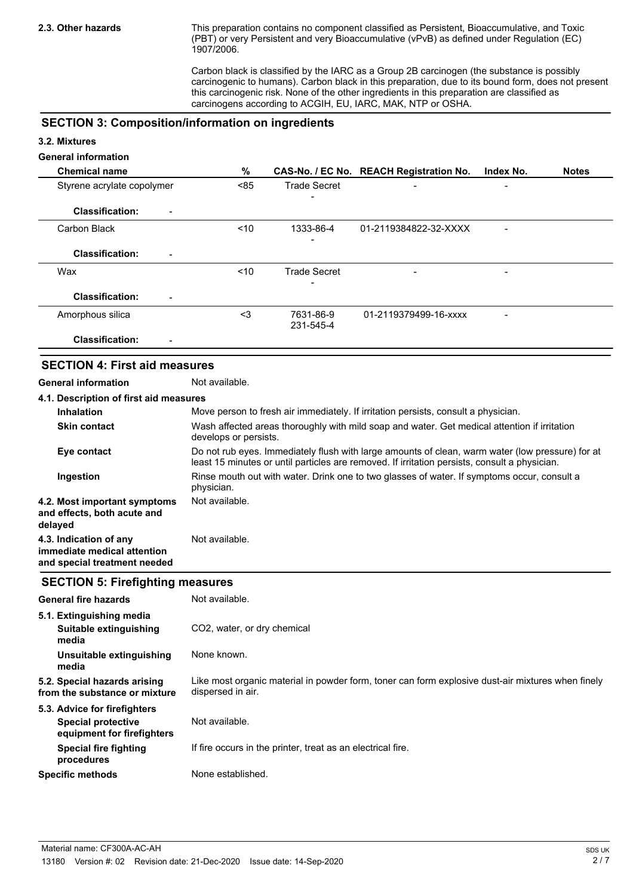This preparation contains no component classified as Persistent, Bioaccumulative, and Toxic (PBT) or very Persistent and very Bioaccumulative (vPvB) as defined under Regulation (EC) 1907/2006.

Carbon black is classified by the IARC as a Group 2B carcinogen (the substance is possibly carcinogenic to humans). Carbon black in this preparation, due to its bound form, does not present this carcinogenic risk. None of the other ingredients in this preparation are classified as carcinogens according to ACGIH, EU, IARC, MAK, NTP or OSHA.

## **SECTION 3: Composition/information on ingredients**

#### **3.2. Mixtures**

## **General information**

| <b>Chemical name</b>                                   | %    |                        | CAS-No. / EC No. REACH Registration No. | Index No.                | <b>Notes</b> |
|--------------------------------------------------------|------|------------------------|-----------------------------------------|--------------------------|--------------|
| Styrene acrylate copolymer                             | < 85 | <b>Trade Secret</b>    | -                                       | $\overline{\phantom{0}}$ |              |
| <b>Classification:</b><br>$\qquad \qquad \blacksquare$ |      |                        |                                         |                          |              |
| Carbon Black                                           | < 10 | 1333-86-4              | 01-2119384822-32-XXXX                   | -                        |              |
| <b>Classification:</b><br>$\qquad \qquad \blacksquare$ |      |                        |                                         |                          |              |
| Wax                                                    | ~10  | <b>Trade Secret</b>    | $\overline{\phantom{0}}$                |                          |              |
| <b>Classification:</b><br>$\overline{\phantom{0}}$     |      |                        |                                         |                          |              |
| Amorphous silica                                       | $3$  | 7631-86-9<br>231-545-4 | 01-2119379499-16-xxxx                   | $\overline{\phantom{0}}$ |              |
| <b>Classification:</b><br>$\qquad \qquad$              |      |                        |                                         |                          |              |

## **SECTION 4: First aid measures**

**General information** Not available.

| 4.1. Description of first aid measures                                                |                                                                                                                                                                                                   |
|---------------------------------------------------------------------------------------|---------------------------------------------------------------------------------------------------------------------------------------------------------------------------------------------------|
| <b>Inhalation</b>                                                                     | Move person to fresh air immediately. If irritation persists, consult a physician.                                                                                                                |
| <b>Skin contact</b>                                                                   | Wash affected areas thoroughly with mild soap and water. Get medical attention if irritation<br>develops or persists.                                                                             |
| Eye contact                                                                           | Do not rub eyes. Immediately flush with large amounts of clean, warm water (low pressure) for at<br>least 15 minutes or until particles are removed. If irritation persists, consult a physician. |
| Ingestion                                                                             | Rinse mouth out with water. Drink one to two glasses of water. If symptoms occur, consult a<br>physician.                                                                                         |
| 4.2. Most important symptoms<br>and effects, both acute and<br>delayed                | Not available.                                                                                                                                                                                    |
| 4.3. Indication of any<br>immediate medical attention<br>and special treatment needed | Not available.                                                                                                                                                                                    |

#### **SECTION 5: Firefighting measures**

| <b>General fire hazards</b>                                   | Not available.                                                                                                         |
|---------------------------------------------------------------|------------------------------------------------------------------------------------------------------------------------|
| 5.1. Extinguishing media                                      |                                                                                                                        |
| Suitable extinguishing<br>media                               | CO <sub>2</sub> , water, or dry chemical                                                                               |
| Unsuitable extinguishing<br>media                             | None known.                                                                                                            |
| 5.2. Special hazards arising<br>from the substance or mixture | Like most organic material in powder form, toner can form explosive dust-air mixtures when finely<br>dispersed in air. |
| 5.3. Advice for firefighters                                  |                                                                                                                        |
| Special protective<br>equipment for firefighters              | Not available.                                                                                                         |
| Special fire fighting<br>procedures                           | If fire occurs in the printer, treat as an electrical fire.                                                            |
| <b>Specific methods</b>                                       | None established.                                                                                                      |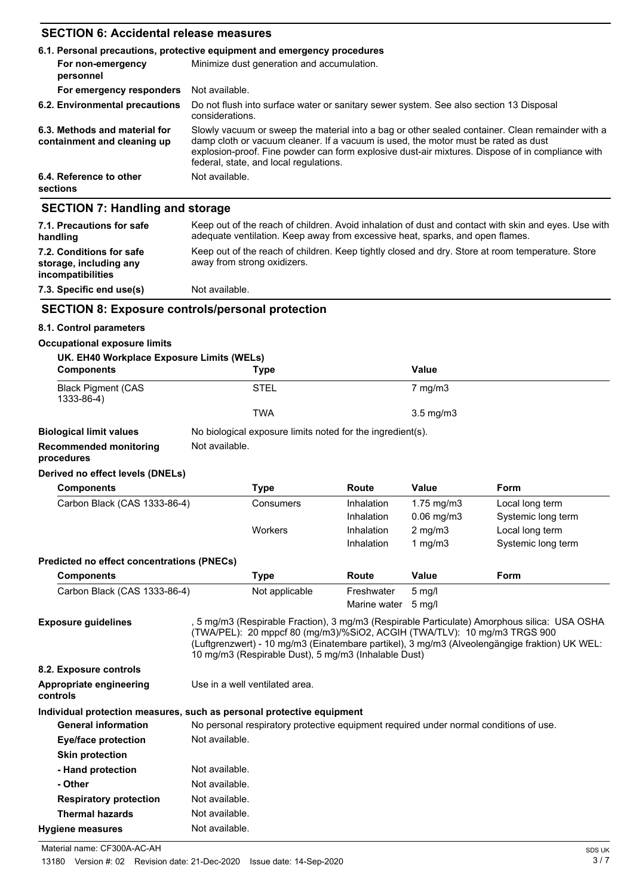## **SECTION 6: Accidental release measures**

|                                                              | 6.1. Personal precautions, protective equipment and emergency procedures                                                                                                                                                                                                                                                                      |  |  |
|--------------------------------------------------------------|-----------------------------------------------------------------------------------------------------------------------------------------------------------------------------------------------------------------------------------------------------------------------------------------------------------------------------------------------|--|--|
| For non-emergency<br>personnel                               | Minimize dust generation and accumulation.                                                                                                                                                                                                                                                                                                    |  |  |
| For emergency responders                                     | Not available.                                                                                                                                                                                                                                                                                                                                |  |  |
| 6.2. Environmental precautions                               | Do not flush into surface water or sanitary sewer system. See also section 13 Disposal<br>considerations.                                                                                                                                                                                                                                     |  |  |
| 6.3. Methods and material for<br>containment and cleaning up | Slowly vacuum or sweep the material into a bag or other sealed container. Clean remainder with a<br>damp cloth or vacuum cleaner. If a vacuum is used, the motor must be rated as dust<br>explosion-proof. Fine powder can form explosive dust-air mixtures. Dispose of in compliance with<br>federal, state, and local regulations.          |  |  |
| 6.4. Reference to other<br>sections                          | Not available.                                                                                                                                                                                                                                                                                                                                |  |  |
| <b>SECTION 7: Handling and storage</b>                       |                                                                                                                                                                                                                                                                                                                                               |  |  |
| 7.1. Precautions for safe                                    | Keep out of the reach of children. Avoid inhalation of dust and contact with skin and eyes. Use with<br>$\blacksquare$ . The set of the set of the set of the set of the set of the set of the set of the set of the set of the set of the set of the set of the set of the set of the set of the set of the set of the set of the set of the |  |  |

| handling                                                                | adequate ventilation. Keep away from excessive heat, sparks, and open flames.                                                   |
|-------------------------------------------------------------------------|---------------------------------------------------------------------------------------------------------------------------------|
| 7.2. Conditions for safe<br>storage, including any<br>incompatibilities | Keep out of the reach of children. Keep tightly closed and dry. Store at room temperature. Store<br>away from strong oxidizers. |
| 7.3. Specific end use(s)                                                | Not available.                                                                                                                  |

## **SECTION 8: Exposure controls/personal protection**

## **8.1. Control parameters**

## **Occupational exposure limits**

| UK. EH40 Workplace Exposure Limits (WELs)<br><b>Components</b>        |                | <b>Type</b>                                                                                                                      |                            | Value                              |                                                                                                                                                                                               |
|-----------------------------------------------------------------------|----------------|----------------------------------------------------------------------------------------------------------------------------------|----------------------------|------------------------------------|-----------------------------------------------------------------------------------------------------------------------------------------------------------------------------------------------|
| <b>Black Pigment (CAS</b><br>1333-86-4)                               |                | <b>STEL</b>                                                                                                                      |                            | $7$ mg/m $3$                       |                                                                                                                                                                                               |
|                                                                       |                | <b>TWA</b>                                                                                                                       |                            | $3.5 \text{ mg/m}$                 |                                                                                                                                                                                               |
| <b>Biological limit values</b>                                        |                | No biological exposure limits noted for the ingredient(s).                                                                       |                            |                                    |                                                                                                                                                                                               |
| <b>Recommended monitoring</b><br>procedures                           | Not available. |                                                                                                                                  |                            |                                    |                                                                                                                                                                                               |
| Derived no effect levels (DNELs)                                      |                |                                                                                                                                  |                            |                                    |                                                                                                                                                                                               |
| <b>Components</b>                                                     |                | <b>Type</b>                                                                                                                      | Route                      | Value                              | Form                                                                                                                                                                                          |
| Carbon Black (CAS 1333-86-4)                                          |                | Consumers                                                                                                                        | Inhalation<br>Inhalation   | $1.75$ mg/m $3$<br>$0.06$ mg/m $3$ | Local long term<br>Systemic long term                                                                                                                                                         |
|                                                                       |                | Workers                                                                                                                          | Inhalation<br>Inhalation   | $2$ mg/m $3$<br>1 mg/m $3$         | Local long term<br>Systemic long term                                                                                                                                                         |
| <b>Predicted no effect concentrations (PNECs)</b>                     |                |                                                                                                                                  |                            |                                    |                                                                                                                                                                                               |
| <b>Components</b>                                                     |                | <b>Type</b>                                                                                                                      | Route                      | <b>Value</b>                       | Form                                                                                                                                                                                          |
| Carbon Black (CAS 1333-86-4)                                          |                | Not applicable                                                                                                                   | Freshwater<br>Marine water | $5$ mg/l<br>$5 \text{ mq/l}$       |                                                                                                                                                                                               |
| <b>Exposure guidelines</b>                                            |                | (TWA/PEL): 20 mppcf 80 (mg/m3)/%SiO2, ACGIH (TWA/TLV): 10 mg/m3 TRGS 900<br>10 mg/m3 (Respirable Dust), 5 mg/m3 (Inhalable Dust) |                            |                                    | , 5 mg/m3 (Respirable Fraction), 3 mg/m3 (Respirable Particulate) Amorphous silica: USA OSHA<br>(Luftgrenzwert) - 10 mg/m3 (Einatembare partikel), 3 mg/m3 (Alveolengängige fraktion) UK WEL: |
| 8.2. Exposure controls                                                |                |                                                                                                                                  |                            |                                    |                                                                                                                                                                                               |
| Appropriate engineering<br>controls                                   |                | Use in a well ventilated area.                                                                                                   |                            |                                    |                                                                                                                                                                                               |
| Individual protection measures, such as personal protective equipment |                |                                                                                                                                  |                            |                                    |                                                                                                                                                                                               |
| <b>General information</b>                                            |                | No personal respiratory protective equipment required under normal conditions of use.                                            |                            |                                    |                                                                                                                                                                                               |
| <b>Eye/face protection</b>                                            | Not available. |                                                                                                                                  |                            |                                    |                                                                                                                                                                                               |
| <b>Skin protection</b>                                                |                |                                                                                                                                  |                            |                                    |                                                                                                                                                                                               |
| - Hand protection                                                     | Not available. |                                                                                                                                  |                            |                                    |                                                                                                                                                                                               |
| - Other                                                               | Not available. |                                                                                                                                  |                            |                                    |                                                                                                                                                                                               |
| <b>Respiratory protection</b>                                         | Not available. |                                                                                                                                  |                            |                                    |                                                                                                                                                                                               |
| <b>Thermal hazards</b>                                                | Not available. |                                                                                                                                  |                            |                                    |                                                                                                                                                                                               |
| <b>Hygiene measures</b>                                               | Not available. |                                                                                                                                  |                            |                                    |                                                                                                                                                                                               |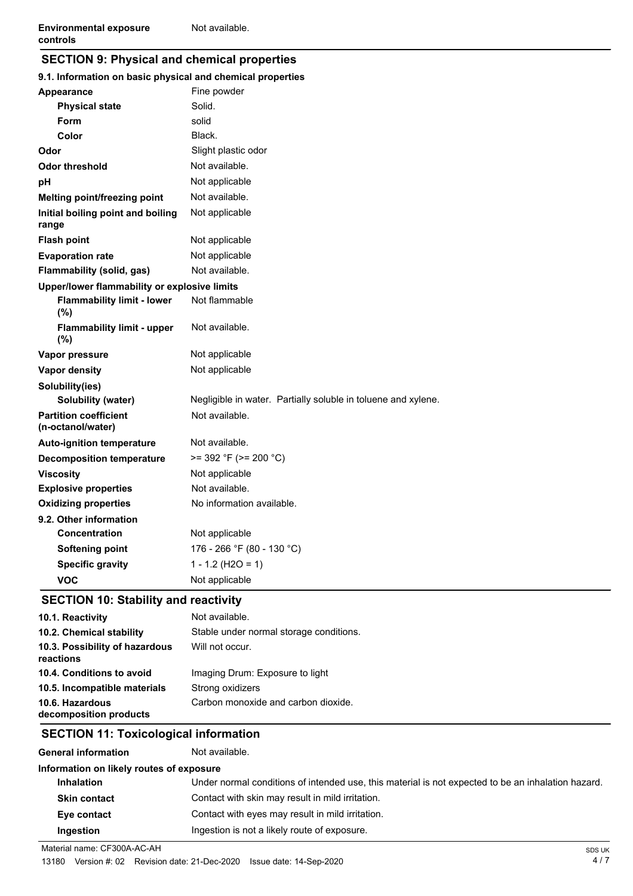## **SECTION 9: Physical and chemical properties**

| 9.1. Information on basic physical and chemical properties |                                                               |
|------------------------------------------------------------|---------------------------------------------------------------|
| Appearance                                                 | Fine powder                                                   |
| <b>Physical state</b>                                      | Solid.                                                        |
| <b>Form</b>                                                | solid                                                         |
| Color                                                      | Black.                                                        |
| Odor                                                       | Slight plastic odor                                           |
| <b>Odor threshold</b>                                      | Not available.                                                |
| pH                                                         | Not applicable                                                |
| Melting point/freezing point                               | Not available.                                                |
| Initial boiling point and boiling<br>range                 | Not applicable                                                |
| <b>Flash point</b>                                         | Not applicable                                                |
| <b>Evaporation rate</b>                                    | Not applicable                                                |
| Flammability (solid, gas)                                  | Not available.                                                |
| Upper/lower flammability or explosive limits               |                                                               |
| <b>Flammability limit - lower</b><br>(%)                   | Not flammable                                                 |
| <b>Flammability limit - upper</b><br>(%)                   | Not available.                                                |
| Vapor pressure                                             | Not applicable                                                |
| <b>Vapor density</b>                                       | Not applicable                                                |
| Solubility(ies)                                            |                                                               |
| Solubility (water)                                         | Negligible in water. Partially soluble in toluene and xylene. |
| <b>Partition coefficient</b><br>(n-octanol/water)          | Not available.                                                |
| <b>Auto-ignition temperature</b>                           | Not available.                                                |
| <b>Decomposition temperature</b>                           | $>= 392$ °F ( $>= 200$ °C)                                    |
| <b>Viscosity</b>                                           | Not applicable                                                |
| <b>Explosive properties</b>                                | Not available.                                                |
| <b>Oxidizing properties</b>                                | No information available.                                     |
| 9.2. Other information                                     |                                                               |
| <b>Concentration</b>                                       | Not applicable                                                |
| <b>Softening point</b>                                     | 176 - 266 °F (80 - 130 °C)                                    |
| <b>Specific gravity</b>                                    | $1 - 1.2$ (H2O = 1)                                           |
| <b>VOC</b>                                                 | Not applicable                                                |

## **SECTION 10: Stability and reactivity**

| 10.1. Reactivity                            | Not available.                          |
|---------------------------------------------|-----------------------------------------|
| 10.2. Chemical stability                    | Stable under normal storage conditions. |
| 10.3. Possibility of hazardous<br>reactions | Will not occur.                         |
| 10.4. Conditions to avoid                   | Imaging Drum: Exposure to light         |
| 10.5. Incompatible materials                | Strong oxidizers                        |
| 10.6. Hazardous<br>decomposition products   | Carbon monoxide and carbon dioxide.     |

## **SECTION 11: Toxicological information**

| <b>General information</b>               | Not available.                                                                                     |
|------------------------------------------|----------------------------------------------------------------------------------------------------|
| Information on likely routes of exposure |                                                                                                    |
| <b>Inhalation</b>                        | Under normal conditions of intended use, this material is not expected to be an inhalation hazard. |
| <b>Skin contact</b>                      | Contact with skin may result in mild irritation.                                                   |
| Eye contact                              | Contact with eyes may result in mild irritation.                                                   |
| Ingestion                                | Ingestion is not a likely route of exposure.                                                       |
|                                          |                                                                                                    |

Material name: CF300A-AC-AH SDS UK

13180 Version #: 02 Revision date: 21-Dec-2020 Issue date: 14-Sep-2020 4 / 7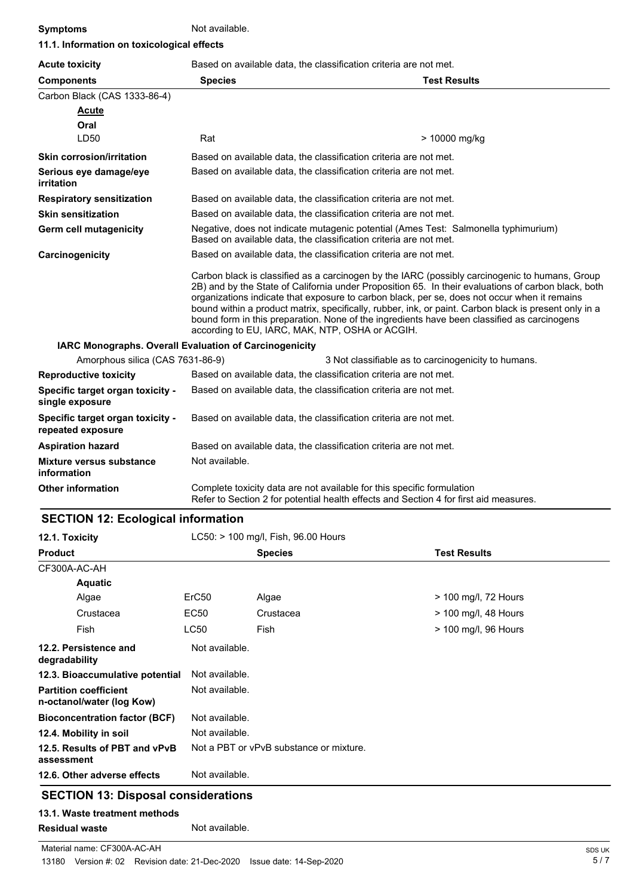**Symptoms** Not available.

**11.1. Information on toxicological effects**

| Acute toxicity | Based on available data, the classification criteria are not met. |
|----------------|-------------------------------------------------------------------|
|----------------|-------------------------------------------------------------------|

| <b>Components</b>                                      | <b>Species</b>                                                                                                                                                                                                                                                                                                                                                                                                                                                                                                                                                   | <b>Test Results</b>                                                                                                                                             |  |  |
|--------------------------------------------------------|------------------------------------------------------------------------------------------------------------------------------------------------------------------------------------------------------------------------------------------------------------------------------------------------------------------------------------------------------------------------------------------------------------------------------------------------------------------------------------------------------------------------------------------------------------------|-----------------------------------------------------------------------------------------------------------------------------------------------------------------|--|--|
| Carbon Black (CAS 1333-86-4)                           |                                                                                                                                                                                                                                                                                                                                                                                                                                                                                                                                                                  |                                                                                                                                                                 |  |  |
| Acute                                                  |                                                                                                                                                                                                                                                                                                                                                                                                                                                                                                                                                                  |                                                                                                                                                                 |  |  |
| Oral                                                   |                                                                                                                                                                                                                                                                                                                                                                                                                                                                                                                                                                  |                                                                                                                                                                 |  |  |
| LD50                                                   | Rat                                                                                                                                                                                                                                                                                                                                                                                                                                                                                                                                                              | > 10000 mg/kg                                                                                                                                                   |  |  |
| <b>Skin corrosion/irritation</b>                       | Based on available data, the classification criteria are not met.                                                                                                                                                                                                                                                                                                                                                                                                                                                                                                |                                                                                                                                                                 |  |  |
| Serious eye damage/eye<br><b>irritation</b>            | Based on available data, the classification criteria are not met.                                                                                                                                                                                                                                                                                                                                                                                                                                                                                                |                                                                                                                                                                 |  |  |
| <b>Respiratory sensitization</b>                       | Based on available data, the classification criteria are not met.                                                                                                                                                                                                                                                                                                                                                                                                                                                                                                |                                                                                                                                                                 |  |  |
| <b>Skin sensitization</b>                              | Based on available data, the classification criteria are not met.                                                                                                                                                                                                                                                                                                                                                                                                                                                                                                |                                                                                                                                                                 |  |  |
| Germ cell mutagenicity                                 | Negative, does not indicate mutagenic potential (Ames Test: Salmonella typhimurium)<br>Based on available data, the classification criteria are not met.                                                                                                                                                                                                                                                                                                                                                                                                         |                                                                                                                                                                 |  |  |
| Carcinogenicity                                        | Based on available data, the classification criteria are not met.                                                                                                                                                                                                                                                                                                                                                                                                                                                                                                |                                                                                                                                                                 |  |  |
|                                                        | Carbon black is classified as a carcinogen by the IARC (possibly carcinogenic to humans, Group<br>2B) and by the State of California under Proposition 65. In their evaluations of carbon black, both<br>organizations indicate that exposure to carbon black, per se, does not occur when it remains<br>bound within a product matrix, specifically, rubber, ink, or paint. Carbon black is present only in a<br>bound form in this preparation. None of the ingredients have been classified as carcinogens<br>according to EU, IARC, MAK, NTP, OSHA or ACGIH. |                                                                                                                                                                 |  |  |
| IARC Monographs. Overall Evaluation of Carcinogenicity |                                                                                                                                                                                                                                                                                                                                                                                                                                                                                                                                                                  |                                                                                                                                                                 |  |  |
| Amorphous silica (CAS 7631-86-9)                       |                                                                                                                                                                                                                                                                                                                                                                                                                                                                                                                                                                  | 3 Not classifiable as to carcinogenicity to humans.                                                                                                             |  |  |
| <b>Reproductive toxicity</b>                           |                                                                                                                                                                                                                                                                                                                                                                                                                                                                                                                                                                  | Based on available data, the classification criteria are not met.                                                                                               |  |  |
| Specific target organ toxicity -<br>single exposure    |                                                                                                                                                                                                                                                                                                                                                                                                                                                                                                                                                                  | Based on available data, the classification criteria are not met.                                                                                               |  |  |
| Specific target organ toxicity -<br>repeated exposure  |                                                                                                                                                                                                                                                                                                                                                                                                                                                                                                                                                                  | Based on available data, the classification criteria are not met.                                                                                               |  |  |
| <b>Aspiration hazard</b>                               | Based on available data, the classification criteria are not met.                                                                                                                                                                                                                                                                                                                                                                                                                                                                                                |                                                                                                                                                                 |  |  |
| Mixture versus substance<br>information                | Not available.                                                                                                                                                                                                                                                                                                                                                                                                                                                                                                                                                   |                                                                                                                                                                 |  |  |
| <b>Other information</b>                               |                                                                                                                                                                                                                                                                                                                                                                                                                                                                                                                                                                  | Complete toxicity data are not available for this specific formulation<br>Refer to Section 2 for potential health effects and Section 4 for first aid measures. |  |  |

## **SECTION 12: Ecological information**

| 12.1. Toxicity | LC50: > 100 mg/l, Fish, 96.00 Hours |
|----------------|-------------------------------------|
|                |                                     |

| $14.1.1$ VAIVILY                                          | LOUD: 100 111971, 11011, 00.00 110010   |                |                        |
|-----------------------------------------------------------|-----------------------------------------|----------------|------------------------|
| <b>Product</b>                                            |                                         | <b>Species</b> | <b>Test Results</b>    |
| CF300A-AC-AH                                              |                                         |                |                        |
| <b>Aquatic</b>                                            |                                         |                |                        |
| Algae                                                     | ErC50                                   | Algae          | > 100 mg/l, 72 Hours   |
| Crustacea                                                 | EC50                                    | Crustacea      | $>$ 100 mg/l, 48 Hours |
| Fish                                                      | <b>LC50</b>                             | Fish           | > 100 mg/l, 96 Hours   |
| 12.2. Persistence and<br>degradability                    | Not available.                          |                |                        |
| 12.3. Bioaccumulative potential                           | Not available.                          |                |                        |
| <b>Partition coefficient</b><br>n-octanol/water (log Kow) | Not available.                          |                |                        |
| <b>Bioconcentration factor (BCF)</b>                      | Not available.                          |                |                        |
| Not available.<br>12.4. Mobility in soil                  |                                         |                |                        |
| 12.5. Results of PBT and vPvB<br>assessment               | Not a PBT or vPvB substance or mixture. |                |                        |
| 12.6. Other adverse effects                               | Not available.                          |                |                        |
|                                                           |                                         |                |                        |

## **SECTION 13: Disposal considerations**

## **13.1. Waste treatment methods**

#### **Residual waste** Not available.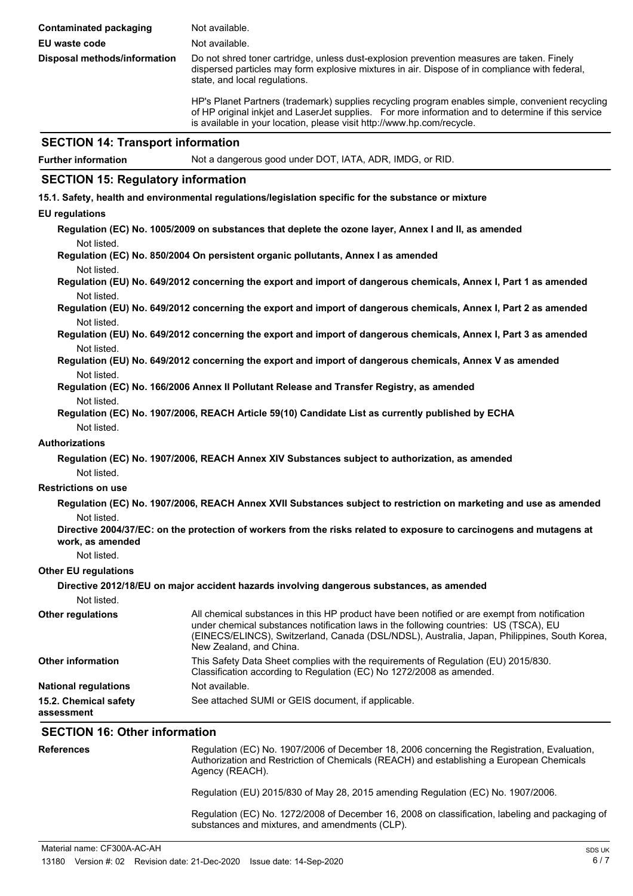| <b>Contaminated packaging</b>                  | Not available.                                                                                                                                                                                                                                                                                                    |  |  |
|------------------------------------------------|-------------------------------------------------------------------------------------------------------------------------------------------------------------------------------------------------------------------------------------------------------------------------------------------------------------------|--|--|
| <b>EU</b> waste code                           | Not available.<br>Do not shred toner cartridge, unless dust-explosion prevention measures are taken. Finely<br>dispersed particles may form explosive mixtures in air. Dispose of in compliance with federal,<br>state, and local regulations.                                                                    |  |  |
| Disposal methods/information                   |                                                                                                                                                                                                                                                                                                                   |  |  |
|                                                | HP's Planet Partners (trademark) supplies recycling program enables simple, convenient recycling<br>of HP original inkjet and LaserJet supplies. For more information and to determine if this service<br>is available in your location, please visit http://www.hp.com/recycle.                                  |  |  |
| <b>SECTION 14: Transport information</b>       |                                                                                                                                                                                                                                                                                                                   |  |  |
| <b>Further information</b>                     | Not a dangerous good under DOT, IATA, ADR, IMDG, or RID.                                                                                                                                                                                                                                                          |  |  |
| <b>SECTION 15: Regulatory information</b>      |                                                                                                                                                                                                                                                                                                                   |  |  |
|                                                | 15.1. Safety, health and environmental regulations/legislation specific for the substance or mixture                                                                                                                                                                                                              |  |  |
| <b>EU</b> regulations                          | Regulation (EC) No. 1005/2009 on substances that deplete the ozone layer, Annex I and II, as amended                                                                                                                                                                                                              |  |  |
| Not listed.                                    |                                                                                                                                                                                                                                                                                                                   |  |  |
| Not listed.                                    | Regulation (EC) No. 850/2004 On persistent organic pollutants, Annex I as amended                                                                                                                                                                                                                                 |  |  |
| Not listed.                                    | Regulation (EU) No. 649/2012 concerning the export and import of dangerous chemicals, Annex I, Part 1 as amended                                                                                                                                                                                                  |  |  |
| Not listed.                                    | Regulation (EU) No. 649/2012 concerning the export and import of dangerous chemicals, Annex I, Part 2 as amended                                                                                                                                                                                                  |  |  |
| Not listed.                                    | Regulation (EU) No. 649/2012 concerning the export and import of dangerous chemicals, Annex I, Part 3 as amended                                                                                                                                                                                                  |  |  |
|                                                | Regulation (EU) No. 649/2012 concerning the export and import of dangerous chemicals, Annex V as amended                                                                                                                                                                                                          |  |  |
| Not listed.                                    | Regulation (EC) No. 166/2006 Annex II Pollutant Release and Transfer Registry, as amended                                                                                                                                                                                                                         |  |  |
| Not listed.<br>Not listed.                     | Regulation (EC) No. 1907/2006, REACH Article 59(10) Candidate List as currently published by ECHA                                                                                                                                                                                                                 |  |  |
| <b>Authorizations</b>                          |                                                                                                                                                                                                                                                                                                                   |  |  |
| Not listed.                                    | Regulation (EC) No. 1907/2006, REACH Annex XIV Substances subject to authorization, as amended                                                                                                                                                                                                                    |  |  |
| <b>Restrictions on use</b>                     |                                                                                                                                                                                                                                                                                                                   |  |  |
|                                                | Regulation (EC) No. 1907/2006, REACH Annex XVII Substances subject to restriction on marketing and use as amended                                                                                                                                                                                                 |  |  |
| Not listed.<br>work, as amended<br>Not listed. | Directive 2004/37/EC: on the protection of workers from the risks related to exposure to carcinogens and mutagens at                                                                                                                                                                                              |  |  |
| <b>Other EU regulations</b>                    |                                                                                                                                                                                                                                                                                                                   |  |  |
|                                                | Directive 2012/18/EU on major accident hazards involving dangerous substances, as amended                                                                                                                                                                                                                         |  |  |
| Not listed.                                    |                                                                                                                                                                                                                                                                                                                   |  |  |
| <b>Other regulations</b>                       | All chemical substances in this HP product have been notified or are exempt from notification<br>under chemical substances notification laws in the following countries: US (TSCA), EU<br>(EINECS/ELINCS), Switzerland, Canada (DSL/NDSL), Australia, Japan, Philippines, South Korea,<br>New Zealand, and China. |  |  |
| <b>Other information</b>                       | This Safety Data Sheet complies with the requirements of Regulation (EU) 2015/830.<br>Classification according to Regulation (EC) No 1272/2008 as amended.                                                                                                                                                        |  |  |
| <b>National regulations</b>                    | Not available.                                                                                                                                                                                                                                                                                                    |  |  |
| 15.2. Chemical safety<br>assessment            | See attached SUMI or GEIS document, if applicable.                                                                                                                                                                                                                                                                |  |  |
| <b>SECTION 16: Other information</b>           |                                                                                                                                                                                                                                                                                                                   |  |  |
| <b>References</b>                              | Regulation (EC) No. 1907/2006 of December 18, 2006 concerning the Registration, Evaluation,<br>Authorization and Restriction of Chemicals (REACH) and establishing a European Chemicals<br>Agency (REACH).                                                                                                        |  |  |
|                                                |                                                                                                                                                                                                                                                                                                                   |  |  |

Regulation (EU) 2015/830 of May 28, 2015 amending Regulation (EC) No. 1907/2006.

Regulation (EC) No. 1272/2008 of December 16, 2008 on classification, labeling and packaging of substances and mixtures, and amendments (CLP).